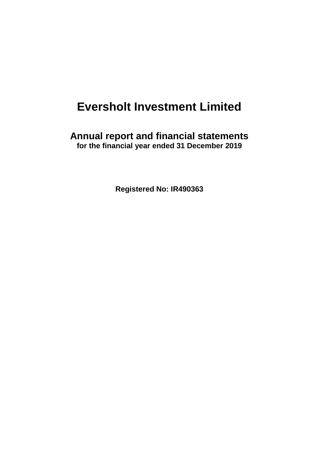# **Eversholt Investment Limited**

**Annual report and financial statements for the financial year ended 31 December 2019** 

**Registered No: IR490363**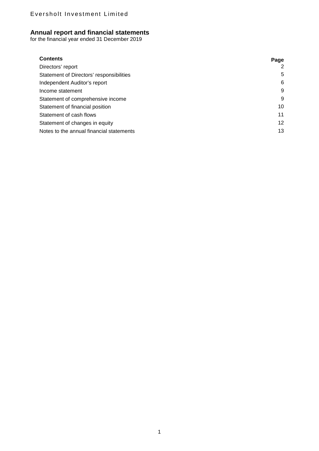# Eversholt Investment Limited

# **Annual report and financial statements**

for the financial year ended 31 December 2019

| <b>Contents</b>                          | Page |
|------------------------------------------|------|
| Directors' report                        |      |
| Statement of Directors' responsibilities | 5    |
| Independent Auditor's report             | 6    |
| Income statement                         | 9    |
| Statement of comprehensive income        | 9    |
| Statement of financial position          | 10   |
| Statement of cash flows                  | 11   |
| Statement of changes in equity           | 12   |
| Notes to the annual financial statements | 13   |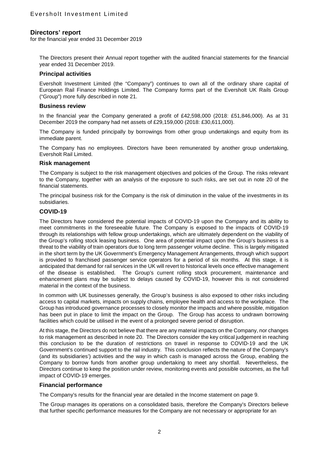# **Directors' report**

for the financial year ended 31 December 2019

The Directors present their Annual report together with the audited financial statements for the financial year ended 31 December 2019.

#### **Principal activities**

Eversholt Investment Limited (the "Company") continues to own all of the ordinary share capital of European Rail Finance Holdings Limited. The Company forms part of the Eversholt UK Rails Group ("Group") more fully described in note 21.

#### **Business review**

In the financial year the Company generated a profit of £42,598,000 (2018: £51,846,000). As at 31 December 2019 the company had net assets of £29,159,000 (2018: £30,611,000).

The Company is funded principally by borrowings from other group undertakings and equity from its immediate parent.

The Company has no employees. Directors have been remunerated by another group undertaking, Eversholt Rail Limited.

#### **Risk management**

The Company is subject to the risk management objectives and policies of the Group. The risks relevant to the Company, together with an analysis of the exposure to such risks, are set out in note 20 of the financial statements.

The principal business risk for the Company is the risk of diminution in the value of the investments in its subsidiaries.

## **COVID-19**

The Directors have considered the potential impacts of COVID-19 upon the Company and its ability to meet commitments in the foreseeable future. The Company is exposed to the impacts of COVID-19 through its relationships with fellow group undertakings, which are ultimately dependent on the viability of the Group's rolling stock leasing business. One area of potential impact upon the Group's business is a threat to the viability of train operators due to long term passenger volume decline. This is largely mitigated in the short term by the UK Government's Emergency Management Arrangements, through which support is provided to franchised passenger service operators for a period of six months. At this stage, it is anticipated that demand for rail services in the UK will revert to historical levels once effective management of the disease is established. The Group's current rolling stock procurement, maintenance and enhancement plans may be subject to delays caused by COVID-19, however this is not considered material in the context of the business.

In common with UK businesses generally, the Group's business is also exposed to other risks including access to capital markets, impacts on supply chains, employee health and access to the workplace. The Group has introduced governance processes to closely monitor the impacts and where possible, mitigation has been put in place to limit the impact on the Group. The Group has access to undrawn borrowing facilities which could be utilised in the event of a prolonged severe period of disruption.

At this stage, the Directors do not believe that there are any material impacts on the Company, nor changes to risk management as described in note 20. The Directors consider the key critical judgement in reaching this conclusion to be the duration of restrictions on travel in response to COVID-19 and the UK Government's continued support to the rail industry. This conclusion reflects the nature of the Company's (and its subsidiaries') activities and the way in which cash is managed across the Group, enabling the Company to borrow funds from another group undertaking to meet any shortfall. Nevertheless, the Directors continue to keep the position under review, monitoring events and possible outcomes, as the full impact of COVID-19 emerges.

#### **Financial performance**

The Company's results for the financial year are detailed in the Income statement on page 9.

The Group manages its operations on a consolidated basis, therefore the Company's Directors believe that further specific performance measures for the Company are not necessary or appropriate for an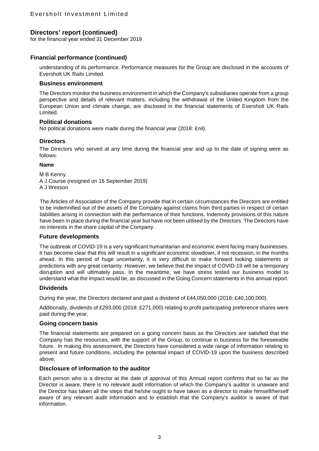# **Directors' report (continued)**

for the financial year ended 31 December 2019

# **Financial performance (continued)**

understanding of its performance. Performance measures for the Group are disclosed in the accounts of Eversholt UK Rails Limited.

#### **Business environment**

The Directors monitor the business environment in which the Company's subsidiaries operate from a group perspective and details of relevant matters, including the withdrawal of the United Kingdom from the European Union and climate change, are disclosed in the financial statements of Eversholt UK Rails Limited.

#### **Political donations**

No political donations were made during the financial year (2018: £nil).

#### **Directors**

The Directors who served at any time during the financial year and up to the date of signing were as follows:

#### **Name**

M B Kenny A J Course (resigned on 16 September 2019) A J Wesson

The Articles of Association of the Company provide that in certain circumstances the Directors are entitled to be indemnified out of the assets of the Company against claims from third parties in respect of certain liabilities arising in connection with the performance of their functions. Indemnity provisions of this nature have been in place during the financial year but have not been utilised by the Directors. The Directors have no interests in the share capital of the Company.

## **Future developments**

The outbreak of COVID-19 is a very significant humanitarian and economic event facing many businesses. It has become clear that this will result in a significant economic slowdown, if not recession, in the months ahead. In this period of huge uncertainty, it is very difficult to make forward looking statements or predictions with any great certainty. However, we believe that the impact of COVID-19 will be a temporary disruption and will ultimately pass. In the meantime, we have stress tested our business model to understand what the impact would be, as discussed in the Going Concern statements in this annual report.

## **Dividends**

During the year, the Directors declared and paid a dividend of £44,050,000 (2018: £40,100,000).

Additionally, dividends of £293,000 (2018: £271,000) relating to profit participating preference shares were paid during the year.

## **Going concern basis**

The financial statements are prepared on a going concern basis as the Directors are satisfied that the Company has the resources, with the support of the Group, to continue in business for the foreseeable future. In making this assessment, the Directors have considered a wide range of information relating to present and future conditions, including the potential impact of COVID-19 upon the business described above.

## **Disclosure of information to the auditor**

Each person who is a director at the date of approval of this Annual report confirms that so far as the Director is aware, there is no relevant audit information of which the Company's auditor is unaware and the Director has taken all the steps that he/she ought to have taken as a director to make himself/herself aware of any relevant audit information and to establish that the Company's auditor is aware of that information.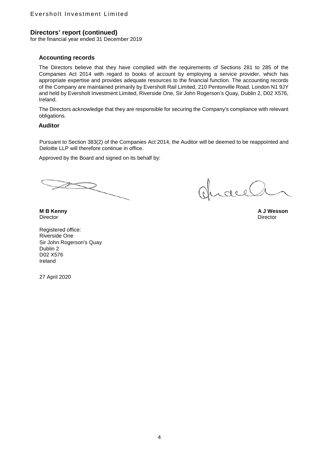# Eversholt Investment Limited

# **Directors' report (continued)**

for the financial year ended 31 December 2019

## **Accounting records**

The Directors believe that they have complied with the requirements of Sections 281 to 285 of the Companies Act 2014 with regard to books of account by employing a service provider, which has appropriate expertise and provides adequate resources to the financial function. The accounting records of the Company are maintained primarily by Eversholt Rail Limited, 210 Pentonville Road, London N1 9JY and held by Eversholt Investment Limited, Riverside One, Sir John Rogerson's Quay, Dublin 2, D02 X576, Ireland.

The Directors acknowledge that they are responsible for securing the Company's compliance with relevant obligations.

## **Auditor**

Pursuant to Section 383(2) of the Companies Act 2014, the Auditor will be deemed to be reappointed and Deloitte LLP will therefore continue in office.

Approved by the Board and signed on its behalf by:

Indeel

**M B Kenny** A J Wesson **M B Kenny** Director Director

Registered office: Riverside One Sir John Rogerson's Quay Dublin 2 D02 X576 Ireland

27 April 2020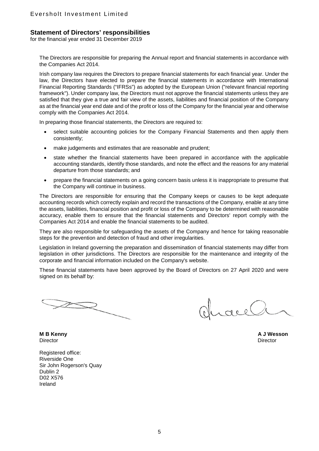# **Statement of Directors' responsibilities**

for the financial year ended 31 December 2019

The Directors are responsible for preparing the Annual report and financial statements in accordance with the Companies Act 2014.

Irish company law requires the Directors to prepare financial statements for each financial year. Under the law, the Directors have elected to prepare the financial statements in accordance with International Financial Reporting Standards ("IFRSs") as adopted by the European Union ("relevant financial reporting framework"). Under company law, the Directors must not approve the financial statements unless they are satisfied that they give a true and fair view of the assets, liabilities and financial position of the Company as at the financial year end date and of the profit or loss of the Company for the financial year and otherwise comply with the Companies Act 2014.

In preparing those financial statements, the Directors are required to:

- select suitable accounting policies for the Company Financial Statements and then apply them consistently;
- make judgements and estimates that are reasonable and prudent;
- state whether the financial statements have been prepared in accordance with the applicable accounting standards, identify those standards, and note the effect and the reasons for any material departure from those standards; and
- prepare the financial statements on a going concern basis unless it is inappropriate to presume that the Company will continue in business.

The Directors are responsible for ensuring that the Company keeps or causes to be kept adequate accounting records which correctly explain and record the transactions of the Company, enable at any time the assets, liabilities, financial position and profit or loss of the Company to be determined with reasonable accuracy, enable them to ensure that the financial statements and Directors' report comply with the Companies Act 2014 and enable the financial statements to be audited.

They are also responsible for safeguarding the assets of the Company and hence for taking reasonable steps for the prevention and detection of fraud and other irregularities.

Legislation in Ireland governing the preparation and dissemination of financial statements may differ from legislation in other jurisdictions. The Directors are responsible for the maintenance and integrity of the corporate and financial information included on the Company's website.

These financial statements have been approved by the Board of Directors on 27 April 2020 and were signed on its behalf by:

Indeel

**M B Kenny** A J Wesson **M** B Kenny

Director Director

Registered office: Riverside One Sir John Rogerson's Quay Dublin 2 D02 X576 Ireland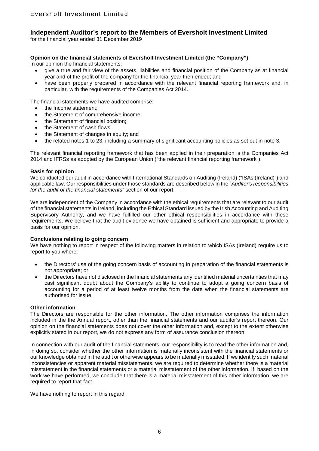# **Independent Auditor's report to the Members of Eversholt Investment Limited**

for the financial year ended 31 December 2019

## **Opinion on the financial statements of Eversholt Investment Limited (the "Company")**

In our opinion the financial statements:

- give a true and fair view of the assets, liabilities and financial position of the Company as at financial year and of the profit of the company for the financial year then ended; and
- have been properly prepared in accordance with the relevant financial reporting framework and, in particular, with the requirements of the Companies Act 2014.

The financial statements we have audited comprise:

- the Income statement;
- the Statement of comprehensive income;
- the Statement of financial position:
- the Statement of cash flows;
- the Statement of changes in equity; and
- the related notes 1 to 23, including a summary of significant accounting policies as set out in note 3.

The relevant financial reporting framework that has been applied in their preparation is the Companies Act 2014 and IFRSs as adopted by the European Union ("the relevant financial reporting framework").

#### **Basis for opinion**

We conducted our audit in accordance with International Standards on Auditing (Ireland) ("ISAs (Ireland)") and applicable law. Our responsibilities under those standards are described below in the "*Auditor's responsibilities for the audit of the financial statements*" section of our report.

We are independent of the Company in accordance with the ethical requirements that are relevant to our audit of the financial statements in Ireland, including the Ethical Standard issued by the Irish Accounting and Auditing Supervisory Authority, and we have fulfilled our other ethical responsibilities in accordance with these requirements. We believe that the audit evidence we have obtained is sufficient and appropriate to provide a basis for our opinion.

## **Conclusions relating to going concern**

We have nothing to report in respect of the following matters in relation to which ISAs (Ireland) require us to report to you where:

- the Directors' use of the going concern basis of accounting in preparation of the financial statements is not appropriate; or
- the Directors have not disclosed in the financial statements any identified material uncertainties that may cast significant doubt about the Company's ability to continue to adopt a going concern basis of accounting for a period of at least twelve months from the date when the financial statements are authorised for issue.

#### **Other information**

The Directors are responsible for the other information. The other information comprises the information included in the the Annual report, other than the financial statements and our auditor's report thereon. Our opinion on the financial statements does not cover the other information and, except to the extent otherwise explicitly stated in our report, we do not express any form of assurance conclusion thereon.

In connection with our audit of the financial statements, our responsibility is to read the other information and, in doing so, consider whether the other information is materially inconsistent with the financial statements or our knowledge obtained in the audit or otherwise appears to be materially misstated. If we identify such material inconsistencies or apparent material misstatements, we are required to determine whether there is a material misstatement in the financial statements or a material misstatement of the other information. If, based on the work we have performed, we conclude that there is a material misstatement of this other information, we are required to report that fact.

We have nothing to report in this regard.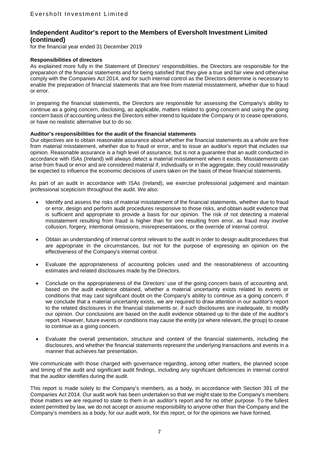# **Independent Auditor's report to the Members of Eversholt Investment Limited (continued)**

for the financial year ended 31 December 2019

#### **Responsibilities of directors**

As explained more fully in the Statement of Directors' responsibilities, the Directors are responsible for the preparation of the financial statements and for being satisfied that they give a true and fair view and otherwise comply with the Companies Act 2014, and for such internal control as the Directors determine is necessary to enable the preparation of financial statements that are free from material misstatement, whether due to fraud or error.

In preparing the financial statements, the Directors are responsible for assessing the Company's ability to continue as a going concern, disclosing, as applicable, matters related to going concern and using the going concern basis of accounting unless the Directors either intend to liquidate the Company or to cease operations, or have no realistic alternative but to do so.

#### **Auditor's responsibilities for the audit of the financial statements**

Our objectives are to obtain reasonable assurance about whether the financial statements as a whole are free from material misstatement, whether due to fraud or error, and to issue an auditor's report that includes our opinion. Reasonable assurance is a high level of assurance, but is not a guarantee that an audit conducted in accordance with ISAs (Ireland) will always detect a material misstatement when it exists. Misstatements can arise from fraud or error and are considered material if, individually or in the aggregate, they could reasonably be expected to influence the economic decisions of users taken on the basis of these financial statements.

As part of an audit in accordance with ISAs (Ireland), we exercise professional judgement and maintain professional scepticism throughout the audit. We also:

- Identify and assess the risks of material misstatement of the financial statements, whether due to fraud or error, design and perform audit procedures responsive to those risks, and obtain audit evidence that is sufficient and appropriate to provide a basis for our opinion. The risk of not detecting a material misstatement resulting from fraud is higher than for one resulting from error, as fraud may involve collusion, forgery, intentional omissions, misrepresentations, or the override of internal control.
- Obtain an understanding of internal control relevant to the audit in order to design audit procedures that are appropriate in the circumstances, but not for the purpose of expressing an opinion on the effectiveness of the Company's internal control.
- Evaluate the appropriateness of accounting policies used and the reasonableness of accounting estimates and related disclosures made by the Directors.
- Conclude on the appropriateness of the Directors' use of the going concern basis of accounting and, based on the audit evidence obtained, whether a material uncertainty exists related to events or conditions that may cast significant doubt on the Company's ability to continue as a going concern. If we conclude that a material uncertainty exists, we are required to draw attention in our auditor's report to the related disclosures in the financial statements or, if such disclosures are inadequate, to modify our opinion. Our conclusions are based on the audit evidence obtained up to the date of the auditor's report. However, future events or conditions may cause the entity (or where relevant, the group) to cease to continue as a going concern.
- Evaluate the overall presentation, structure and content of the financial statements, including the disclosures, and whether the financial statements represent the underlying transactions and events in a manner that achieves fair presentation.

We communicate with those charged with governance regarding, among other matters, the planned scope and timing of the audit and significant audit findings, including any significant deficiencies in internal control that the auditor identifies during the audit.

This report is made solely to the Company's members, as a body, in accordance with Section 391 of the Companies Act 2014. Our audit work has been undertaken so that we might state to the Company's members those matters we are required to state to them in an auditor's report and for no other purpose. To the fullest extent permitted by law, we do not accept or assume responsibility to anyone other than the Company and the Company's members as a body, for our audit work, for this report, or for the opinions we have formed.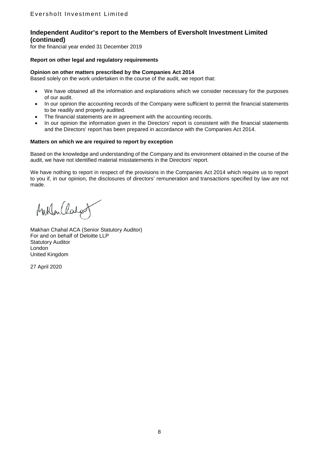# **Independent Auditor's report to the Members of Eversholt Investment Limited (continued)**

for the financial year ended 31 December 2019

#### **Report on other legal and regulatory requirements**

#### **Opinion on other matters prescribed by the Companies Act 2014**

Based solely on the work undertaken in the course of the audit, we report that:

- We have obtained all the information and explanations which we consider necessary for the purposes of our audit.
- In our opinion the accounting records of the Company were sufficient to permit the financial statements to be readily and properly audited.
- The financial statements are in agreement with the accounting records.
- In our opinion the information given in the Directors' report is consistent with the financial statements and the Directors' report has been prepared in accordance with the Companies Act 2014.

#### **Matters on which we are required to report by exception**

Based on the knowledge and understanding of the Company and its environment obtained in the course of the audit, we have not identified material misstatements in the Directors' report.

We have nothing to report in respect of the provisions in the Companies Act 2014 which require us to report to you if, in our opinion, the disclosures of directors' remuneration and transactions specified by law are not made.

Mahlon Clarot

Makhan Chahal ACA (Senior Statutory Auditor) For and on behalf of Deloitte LLP Statutory Auditor London United Kingdom

27 April 2020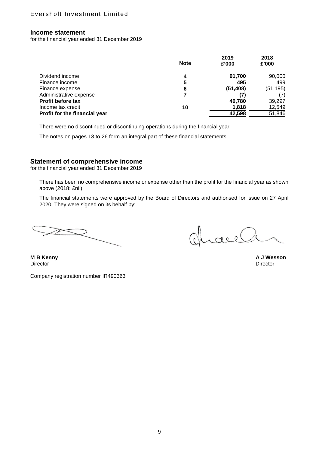# Eversholt Investment Limited

## **Income statement**

for the financial year ended 31 December 2019

|                               | <b>Note</b> | 2019<br>£'000 | 2018<br>£'000 |
|-------------------------------|-------------|---------------|---------------|
| Dividend income               | 4           | 91,700        | 90,000        |
| Finance income                | 5           | 495           | 499           |
| Finance expense               | 6           | (51, 408)     | (51, 195)     |
| Administrative expense        | 7           |               |               |
| <b>Profit before tax</b>      |             | 40,780        | 39,297        |
| Income tax credit             | 10          | 1,818         | 12,549        |
| Profit for the financial year |             | 42,598        | 51,846        |

There were no discontinued or discontinuing operations during the financial year.

The notes on pages 13 to 26 form an integral part of these financial statements.

# **Statement of comprehensive income**

for the financial year ended 31 December 2019

There has been no comprehensive income or expense other than the profit for the financial year as shown above (2018: £nil).

The financial statements were approved by the Board of Directors and authorised for issue on 27 April 2020. They were signed on its behalf by:

march

**M B Kenny A J Wesson** Director Director

Company registration number IR490363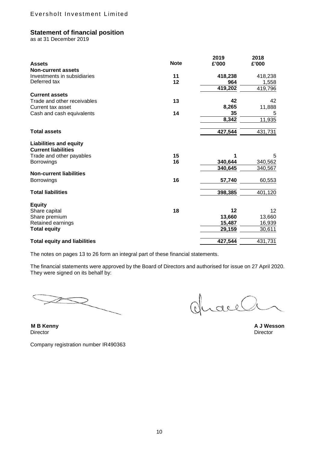# **Statement of financial position**

as at 31 December 2019

| <b>Assets</b>                                               | <b>Note</b> | 2019<br>£'000 | 2018<br>£'000 |
|-------------------------------------------------------------|-------------|---------------|---------------|
| <b>Non-current assets</b>                                   |             |               |               |
| Investments in subsidiaries                                 | 11          | 418,238       | 418,238       |
| Deferred tax                                                | 12          | 964           | 1,558         |
|                                                             |             | 419,202       | 419,796       |
| <b>Current assets</b>                                       |             |               |               |
| Trade and other receivables                                 | 13          | 42            | 42            |
| Current tax asset                                           |             | 8,265         | 11,888        |
| Cash and cash equivalents                                   | 14          | 35            |               |
|                                                             |             | 8,342         | 11,935        |
| <b>Total assets</b>                                         |             | 427,544       | 431,731       |
| <b>Liabilities and equity</b><br><b>Current liabilities</b> |             |               |               |
| Trade and other payables                                    | 15          | 1             | 5             |
| <b>Borrowings</b>                                           | 16          | 340,644       | 340,562       |
| <b>Non-current liabilities</b>                              |             | 340,645       | 340,567       |
| <b>Borrowings</b>                                           | 16          | 57,740        | 60,553        |
| <b>Total liabilities</b>                                    |             | 398,385       | 401,120       |
| <b>Equity</b>                                               |             |               |               |
| Share capital                                               | 18          | 12            | 12            |
| Share premium                                               |             | 13,660        | 13,660        |
| Retained earnings                                           |             | 15,487        | 16,939        |
| <b>Total equity</b>                                         |             | 29,159        | 30,611        |
| <b>Total equity and liabilities</b>                         |             | 427,544       | 431,731       |

The notes on pages 13 to 26 form an integral part of these financial statements.

The financial statements were approved by the Board of Directors and authorised for issue on 27 April 2020. They were signed on its behalf by:

 $\gg$ 

**M B Kenny A J Wesson** Director Director

Charl

Company registration number IR490363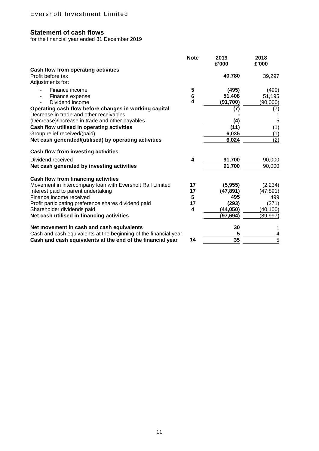# **Statement of cash flows**

for the financial year ended 31 December 2019

|                                                                  | <b>Note</b> | 2019<br>£'000 | 2018<br>£'000 |
|------------------------------------------------------------------|-------------|---------------|---------------|
| Cash flow from operating activities                              |             |               |               |
| Profit before tax                                                |             | 40,780        | 39,297        |
| Adjustments for:                                                 |             |               |               |
| Finance income                                                   | 5           | (495)         | (499)         |
| Finance expense                                                  | 6           | 51,408        | 51,195        |
| Dividend income                                                  | 4           | (91, 700)     | (90,000)      |
| Operating cash flow before changes in working capital            |             | (7)           | (7)           |
| Decrease in trade and other receivables                          |             |               |               |
| (Decrease)/increase in trade and other payables                  |             | (4)           | 5             |
| Cash flow utilised in operating activities                       |             | (11)          | (1)           |
| Group relief received/(paid)                                     |             | 6,035         | (1)           |
| Net cash generated/(utilised) by operating activities            |             | 6,024         | (2)           |
| Cash flow from investing activities                              |             |               |               |
| Dividend received                                                | 4           | 91,700        | 90,000        |
| Net cash generated by investing activities                       |             | 91,700        | 90,000        |
| Cash flow from financing activities                              |             |               |               |
| Movement in intercompany loan with Eversholt Rail Limited        | 17          | (5,955)       | (2, 234)      |
| Interest paid to parent undertaking                              | 17          | (47, 891)     | (47, 891)     |
| Finance income received                                          | 5           | 495           | 499           |
| Profit participating preference shares dividend paid             | 17          | (293)         | (271)         |
| Shareholder dividends paid                                       | 4           | (44, 050)     | (40,100)      |
| Net cash utilised in financing activities                        |             | (97,694)      | (89,997)      |
| Net movement in cash and cash equivalents                        |             | 30            | 1             |
| Cash and cash equivalents at the beginning of the financial year |             | 5             | 4             |
| Cash and cash equivalents at the end of the financial year       | 14          | 35            | 5             |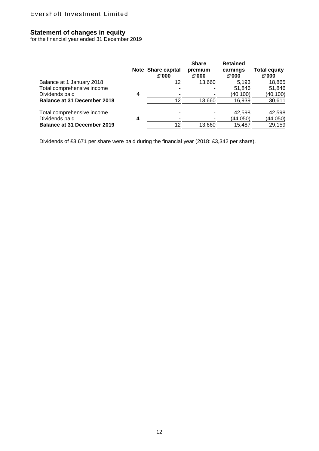# Eversholt Investment Limited

# **Statement of changes in equity**

for the financial year ended 31 December 2019

|                                    |   | <b>Note Share capital</b><br>£'000 | <b>Share</b><br>premium<br>£'000 | <b>Retained</b><br>earnings<br>£'000 | <b>Total equity</b><br>£'000 |
|------------------------------------|---|------------------------------------|----------------------------------|--------------------------------------|------------------------------|
| Balance at 1 January 2018          |   | 12                                 | 13,660                           | 5,193                                | 18,865                       |
| Total comprehensive income         |   | ٠                                  |                                  | 51,846                               | 51,846                       |
| Dividends paid                     | 4 |                                    |                                  | (40,100)                             | (40, 100)                    |
| <b>Balance at 31 December 2018</b> |   | 12                                 | 13,660                           | 16,939                               | 30,611                       |
| Total comprehensive income         |   | ٠                                  |                                  | 42.598                               | 42,598                       |
| Dividends paid                     | 4 | ۰                                  |                                  | (44, 050)                            | (44, 050)                    |
| <b>Balance at 31 December 2019</b> |   | 12                                 | 13,660                           | 15,487                               | 29,159                       |

Dividends of £3,671 per share were paid during the financial year (2018: £3,342 per share).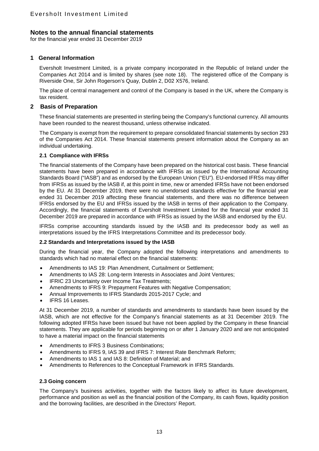# **Notes to the annual financial statements**

for the financial year ended 31 December 2019

# **1 General Information**

Eversholt Investment Limited, is a private company incorporated in the Republic of Ireland under the Companies Act 2014 and is limited by shares (see note 18). The registered office of the Company is Riverside One, Sir John Rogerson's Quay, Dublin 2, D02 X576, Ireland.

The place of central management and control of the Company is based in the UK, where the Company is tax resident.

## **2 Basis of Preparation**

These financial statements are presented in sterling being the Company's functional currency. All amounts have been rounded to the nearest thousand, unless otherwise indicated.

The Company is exempt from the requirement to prepare consolidated financial statements by section 293 of the Companies Act 2014. These financial statements present information about the Company as an individual undertaking.

## **2.1 Compliance with IFRSs**

The financial statements of the Company have been prepared on the historical cost basis. These financial statements have been prepared in accordance with IFRSs as issued by the International Accounting Standards Board ("IASB") and as endorsed by the European Union ("EU"). EU-endorsed IFRSs may differ from IFRSs as issued by the IASB if, at this point in time, new or amended IFRSs have not been endorsed by the EU. At 31 December 2019, there were no unendorsed standards effective for the financial year ended 31 December 2019 affecting these financial statements, and there was no difference between IFRSs endorsed by the EU and IFRSs issued by the IASB in terms of their application to the Company. Accordingly, the financial statements of Eversholt Investment Limited for the financial year ended 31 December 2019 are prepared in accordance with IFRSs as issued by the IASB and endorsed by the EU.

IFRSs comprise accounting standards issued by the IASB and its predecessor body as well as interpretations issued by the IFRS Interpretations Committee and its predecessor body.

## **2.2 Standards and Interpretations issued by the IASB**

During the financial year, the Company adopted the following interpretations and amendments to standards which had no material effect on the financial statements:

- Amendments to IAS 19: Plan Amendment, Curtailment or Settlement;
- Amendments to IAS 28: Long-term Interests in Associates and Joint Ventures;
- IFRIC 23 Uncertainty over Income Tax Treatments;
- Amendments to IFRS 9: Prepayment Features with Negative Compensation;
- Annual Improvements to IFRS Standards 2015-2017 Cycle; and
- IFRS 16 Leases.

At 31 December 2019, a number of standards and amendments to standards have been issued by the IASB, which are not effective for the Company's financial statements as at 31 December 2019. The following adopted IFRSs have been issued but have not been applied by the Company in these financial statements. They are applicable for periods beginning on or after 1 January 2020 and are not anticipated to have a material impact on the financial statements

- Amendments to IFRS 3 Business Combinations;
- Amendments to IFRS 9, IAS 39 and IFRS 7: Interest Rate Benchmark Reform;
- Amendments to IAS 1 and IAS 8: Definition of Material; and
- Amendments to References to the Conceptual Framework in IFRS Standards.

## **2.3 Going concern**

The Company's business activities, together with the factors likely to affect its future development, performance and position as well as the financial position of the Company, its cash flows, liquidity position and the borrowing facilities, are described in the Directors' Report.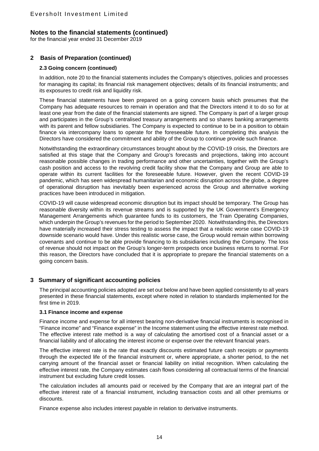for the financial year ended 31 December 2019

# **2 Basis of Preparation (continued)**

#### **2.3 Going concern (continued)**

In addition, note 20 to the financial statements includes the Company's objectives, policies and processes for managing its capital; its financial risk management objectives; details of its financial instruments; and its exposures to credit risk and liquidity risk.

These financial statements have been prepared on a going concern basis which presumes that the Company has adequate resources to remain in operation and that the Directors intend it to do so for at least one year from the date of the financial statements are signed. The Company is part of a larger group and participates in the Group's centralised treasury arrangements and so shares banking arrangements with its parent and fellow subsidiaries. The Company is expected to continue to be in a position to obtain finance via intercompany loans to operate for the foreseeable future. In completing this analysis the Directors have considered the commitment and ability of the Group to continue provide such finance.

Notwithstanding the extraordinary circumstances brought about by the COVID-19 crisis, the Directors are satisfied at this stage that the Company and Group's forecasts and projections, taking into account reasonable possible changes in trading performance and other uncertainties, together with the Group's cash position and access to the revolving credit facility show that the Company and Group are able to operate within its current facilities for the foreseeable future. However, given the recent COVID-19 pandemic, which has seen widespread humanitarian and economic disruption across the globe, a degree of operational disruption has inevitably been experienced across the Group and alternative working practices have been introduced in mitigation.

COVID-19 will cause widespread economic disruption but its impact should be temporary. The Group has reasonable diversity within its revenue streams and is supported by the UK Government's Emergency Management Arrangements which guarantee funds to its customers, the Train Operating Companies, which underpin the Group's revenues for the period to September 2020. Notwithstanding this, the Directors have materially increased their stress testing to assess the impact that a realistic worse case COVID-19 downside scenario would have. Under this realistic worse case, the Group would remain within borrowing covenants and continue to be able provide financing to its subsidiaries including the Company. The loss of revenue should not impact on the Group's longer-term prospects once business returns to normal. For this reason, the Directors have concluded that it is appropriate to prepare the financial statements on a going concern basis.

## **3 Summary of significant accounting policies**

The principal accounting policies adopted are set out below and have been applied consistently to all years presented in these financial statements, except where noted in relation to standards implemented for the first time in 2019.

#### **3.1 Finance income and expense**

Finance income and expense for all interest bearing non-derivative financial instruments is recognised in "Finance income" and "Finance expense" in the Income statement using the effective interest rate method. The effective interest rate method is a way of calculating the amortised cost of a financial asset or a financial liability and of allocating the interest income or expense over the relevant financial years.

The effective interest rate is the rate that exactly discounts estimated future cash receipts or payments through the expected life of the financial instrument or, where appropriate, a shorter period, to the net carrying amount of the financial asset or financial liability on initial recognition. When calculating the effective interest rate, the Company estimates cash flows considering all contractual terms of the financial instrument but excluding future credit losses.

The calculation includes all amounts paid or received by the Company that are an integral part of the effective interest rate of a financial instrument, including transaction costs and all other premiums or discounts.

Finance expense also includes interest payable in relation to derivative instruments.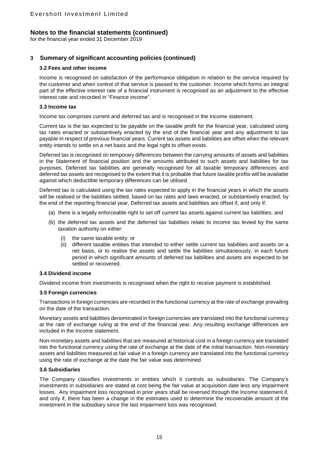for the financial year ended 31 December 2019

## **3 Summary of significant accounting policies (continued)**

#### **3.2 Fees and other income**

Income is recognised on satisfaction of the performance obligation in relation to the service required by the customer and when control of that service is passed to the customer. Income which forms an integral part of the effective interest rate of a financial instrument is recognised as an adjustment to the effective interest rate and recorded in "Finance income".

#### **3.3 Income tax**

Income tax comprises current and deferred tax and is recognised in the Income statement.

Current tax is the tax expected to be payable on the taxable profit for the financial year, calculated using tax rates enacted or substantively enacted by the end of the financial year and any adjustment to tax payable in respect of previous financial years. Current tax assets and liabilities are offset when the relevant entity intends to settle on a net basis and the legal right to offset exists.

Deferred tax is recognised on temporary differences between the carrying amounts of assets and liabilities in the Statement of financial position and the amounts attributed to such assets and liabilities for tax purposes. Deferred tax liabilities are generally recognised for all taxable temporary differences and deferred tax assets are recognised to the extent that it is probable that future taxable profits will be available against which deductible temporary differences can be utilised.

Deferred tax is calculated using the tax rates expected to apply in the financial years in which the assets will be realised or the liabilities settled, based on tax rates and laws enacted, or substantively enacted, by the end of the reporting financial year. Deferred tax assets and liabilities are offset if, and only if:

- (a) there is a legally enforceable right to set off current tax assets against current tax liabilities; and
- (b) the deferred tax assets and the deferred tax liabilities relate to income tax levied by the same taxation authority on either:
	- (i) the same taxable entity; or
	- (ii) different taxable entities that intended to either settle current tax liabilities and assets on a net basis, or to realise the assets and settle the liabilities simultaneously, in each future period in which significant amounts of deferred tax liabilities and assets are expected to be settled or recovered.

#### **3.4 Dividend income**

Dividend income from investments is recognised when the right to receive payment is established.

#### **3.5 Foreign currencies**

Transactions in foreign currencies are recorded in the functional currency at the rate of exchange prevailing on the date of the transaction.

Monetary assets and liabilities denominated in foreign currencies are translated into the functional currency at the rate of exchange ruling at the end of the financial year. Any resulting exchange differences are included in the Income statement.

Non-monetary assets and liabilities that are measured at historical cost in a foreign currency are translated into the functional currency using the rate of exchange at the date of the initial transaction. Non-monetary assets and liabilities measured at fair value in a foreign currency are translated into the functional currency using the rate of exchange at the date the fair value was determined.

#### **3.6 Subsidiaries**

The Company classifies investments in entities which it controls as subsidiaries. The Company's investments in subsidiaries are stated at cost being the fair value at acquisition date less any impairment losses. Any impairment loss recognised in prior years shall be reversed through the Income statement if, and only if, there has been a change in the estimates used to determine the recoverable amount of the investment in the subsidiary since the last impairment loss was recognised.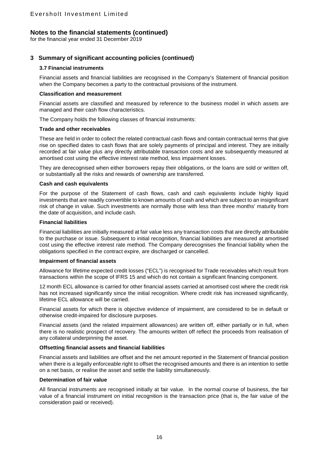for the financial year ended 31 December 2019

## **3 Summary of significant accounting policies (continued)**

#### **3.7 Financial instruments**

Financial assets and financial liabilities are recognised in the Company's Statement of financial position when the Company becomes a party to the contractual provisions of the instrument.

#### **Classification and measurement**

Financial assets are classified and measured by reference to the business model in which assets are managed and their cash flow characteristics.

The Company holds the following classes of financial instruments:

#### **Trade and other receivables**

These are held in order to collect the related contractual cash flows and contain contractual terms that give rise on specified dates to cash flows that are solely payments of principal and interest. They are initially recorded at fair value plus any directly attributable transaction costs and are subsequently measured at amortised cost using the effective interest rate method, less impairment losses.

They are derecognised when either borrowers repay their obligations, or the loans are sold or written off, or substantially all the risks and rewards of ownership are transferred.

#### **Cash and cash equivalents**

For the purpose of the Statement of cash flows, cash and cash equivalents include highly liquid investments that are readily convertible to known amounts of cash and which are subject to an insignificant risk of change in value. Such investments are normally those with less than three months' maturity from the date of acquisition, and include cash.

#### **Financial liabilities**

Financial liabilities are initially measured at fair value less any transaction costs that are directly attributable to the purchase or issue. Subsequent to initial recognition, financial liabilities are measured at amortised cost using the effective interest rate method. The Company derecognises the financial liability when the obligations specified in the contract expire, are discharged or cancelled.

#### **Impairment of financial assets**

Allowance for lifetime expected credit losses ("ECL") is recognised for Trade receivables which result from transactions within the scope of IFRS 15 and which do not contain a significant financing component.

12 month ECL allowance is carried for other financial assets carried at amortised cost where the credit risk has not increased significantly since the initial recognition. Where credit risk has increased significantly, lifetime ECL allowance will be carried.

Financial assets for which there is objective evidence of impairment, are considered to be in default or otherwise credit-impaired for disclosure purposes.

Financial assets (and the related impairment allowances) are written off, either partially or in full, when there is no realistic prospect of recovery. The amounts written off reflect the proceeds from realisation of any collateral underpinning the asset.

#### **Offsetting financial assets and financial liabilities**

Financial assets and liabilities are offset and the net amount reported in the Statement of financial position when there is a legally enforceable right to offset the recognised amounts and there is an intention to settle on a net basis, or realise the asset and settle the liability simultaneously.

#### **Determination of fair value**

All financial instruments are recognised initially at fair value. In the normal course of business, the fair value of a financial instrument on initial recognition is the transaction price (that is, the fair value of the consideration paid or received).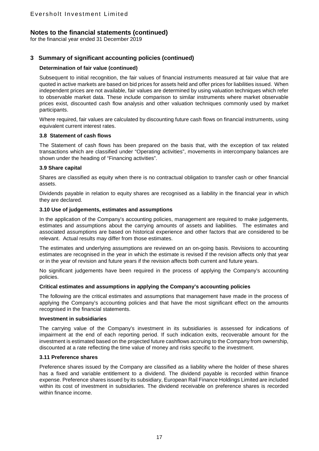for the financial year ended 31 December 2019

# **3 Summary of significant accounting policies (continued)**

## **Determination of fair value (continued)**

Subsequent to initial recognition, the fair values of financial instruments measured at fair value that are quoted in active markets are based on bid prices for assets held and offer prices for liabilities issued. When independent prices are not available, fair values are determined by using valuation techniques which refer to observable market data. These include comparison to similar instruments where market observable prices exist, discounted cash flow analysis and other valuation techniques commonly used by market participants.

Where required, fair values are calculated by discounting future cash flows on financial instruments, using equivalent current interest rates.

#### **3.8 Statement of cash flows**

The Statement of cash flows has been prepared on the basis that, with the exception of tax related transactions which are classified under "Operating activities", movements in intercompany balances are shown under the heading of "Financing activities".

#### **3.9 Share capital**

Shares are classified as equity when there is no contractual obligation to transfer cash or other financial assets.

Dividends payable in relation to equity shares are recognised as a liability in the financial year in which they are declared.

## **3.10 Use of judgements, estimates and assumptions**

In the application of the Company's accounting policies, management are required to make judgements, estimates and assumptions about the carrying amounts of assets and liabilities. The estimates and associated assumptions are based on historical experience and other factors that are considered to be relevant. Actual results may differ from those estimates.

The estimates and underlying assumptions are reviewed on an on-going basis. Revisions to accounting estimates are recognised in the year in which the estimate is revised if the revision affects only that year or in the year of revision and future years if the revision affects both current and future years.

No significant judgements have been required in the process of applying the Company's accounting policies.

#### **Critical estimates and assumptions in applying the Company's accounting policies**

The following are the critical estimates and assumptions that management have made in the process of applying the Company's accounting policies and that have the most significant effect on the amounts recognised in the financial statements.

#### **Investment in subsidiaries**

The carrying value of the Company's investment in its subsidiaries is assessed for indications of impairment at the end of each reporting period. If such indication exits, recoverable amount for the investment is estimated based on the projected future cashflows accruing to the Company from ownership, discounted at a rate reflecting the time value of money and risks specific to the investment.

#### **3.11 Preference shares**

Preference shares issued by the Company are classified as a liability where the holder of these shares has a fixed and variable entitlement to a dividend. The dividend payable is recorded within finance expense. Preference shares issued by its subsidiary, European Rail Finance Holdings Limited are included within its cost of investment in subsidiaries. The dividend receivable on preference shares is recorded within finance income.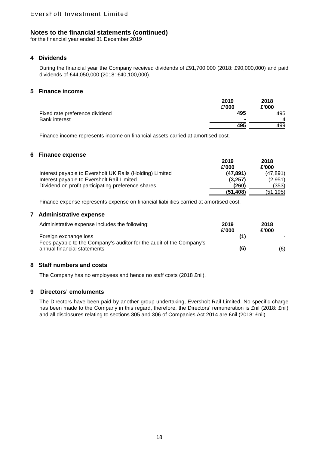for the financial year ended 31 December 2019

# **4 Dividends**

During the financial year the Company received dividends of £91,700,000 (2018: £90,000,000) and paid dividends of £44,050,000 (2018: £40,100,000).

# **5 Finance income**

|                                | 2019           | 2018           |
|--------------------------------|----------------|----------------|
|                                | £'000          | £'000          |
| Fixed rate preference dividend | 495            | 495            |
| <b>Bank interest</b>           | $\blacksquare$ | $\overline{4}$ |
|                                | 495            | 499            |

Finance income represents income on financial assets carried at amortised cost.

## **6 Finance expense**

|                                                          | 2019      | 2018      |
|----------------------------------------------------------|-----------|-----------|
|                                                          | £'000     | £'000     |
| Interest payable to Eversholt UK Rails (Holding) Limited | (47, 891) | (47, 891) |
| Interest payable to Eversholt Rail Limited               | (3,257)   | (2,951)   |
| Dividend on profit participating preference shares       | (260)     | (353)     |
|                                                          | (51.408)  | (51,195)  |

Finance expense represents expense on financial liabilities carried at amortised cost.

# **7 Administrative expense**

| Administrative expense includes the following:                                                | 2019<br>£'000 | 2018<br>£'000 |
|-----------------------------------------------------------------------------------------------|---------------|---------------|
| Foreign exchange loss<br>Fees payable to the Company's auditor for the audit of the Company's |               |               |
| annual financial statements                                                                   | (6)           | (6)           |

# **8 Staff numbers and costs**

The Company has no employees and hence no staff costs (2018 £nil).

## **9 Directors' emoluments**

The Directors have been paid by another group undertaking, Eversholt Rail Limited. No specific charge has been made to the Company in this regard, therefore, the Directors' remuneration is £nil (2018: £nil) and all disclosures relating to sections 305 and 306 of Companies Act 2014 are £nil (2018: £nil).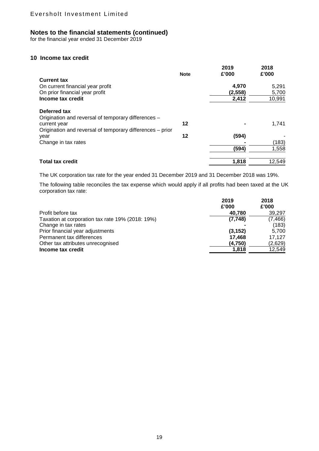for the financial year ended 31 December 2019

# **10 Income tax credit**

|                                                           | <b>Note</b> | 2019<br>£'000 | 2018<br>£'000 |
|-----------------------------------------------------------|-------------|---------------|---------------|
| <b>Current tax</b>                                        |             |               |               |
| On current financial year profit                          |             | 4,970         | 5,291         |
| On prior financial year profit                            |             | (2,558)       | 5,700         |
| Income tax credit                                         |             | 2,412         | 10,991        |
| Deferred tax                                              |             |               |               |
| Origination and reversal of temporary differences -       |             |               |               |
| current year                                              | 12          |               | 1,741         |
| Origination and reversal of temporary differences – prior |             |               |               |
| year                                                      | 12          | (594)         |               |
| Change in tax rates                                       |             |               | (183)         |
|                                                           |             | (594)         | 1,558         |
| <b>Total tax credit</b>                                   |             | 1,818         | 12,549        |

The UK corporation tax rate for the year ended 31 December 2019 and 31 December 2018 was 19%.

The following table reconciles the tax expense which would apply if all profits had been taxed at the UK corporation tax rate:

|                                                  | 2019     | 2018     |
|--------------------------------------------------|----------|----------|
|                                                  | £'000    | £'000    |
| Profit before tax                                | 40,780   | 39,297   |
| Taxation at corporation tax rate 19% (2018: 19%) | (7, 748) | (7, 466) |
| Change in tax rates                              |          | (183)    |
| Prior financial year adjustments                 | (3, 152) | 5.700    |
| Permanent tax differences                        | 17.468   | 17,127   |
| Other tax attributes unrecognised                | (4,750)  | (2,629)  |
| Income tax credit                                | 1,818    | 12.549   |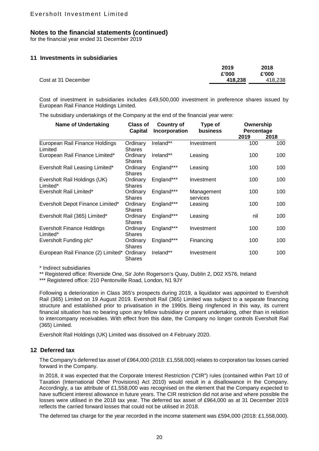for the financial year ended 31 December 2019

## **11 Investments in subsidiaries**

|                     | 2019    | 2018    |
|---------------------|---------|---------|
|                     | £'000   | £'000   |
| Cost at 31 December | 418.238 | 418,238 |

Cost of investment in subsidiaries includes £49,500,000 investment in preference shares issued by European Rail Finance Holdings Limited.

The subsidiary undertakings of the Company at the end of the financial year were:

| <b>Name of Undertaking</b>                    | <b>Class of</b><br>Capital | <b>Country of</b><br>Incorporation | Type of<br>business    | Ownership<br>Percentage |      |
|-----------------------------------------------|----------------------------|------------------------------------|------------------------|-------------------------|------|
|                                               |                            |                                    |                        | 2019                    | 2018 |
| European Rail Finance Holdings<br>Limited     | Ordinary<br><b>Shares</b>  | Ireland**                          | Investment             | 100                     | 100  |
| European Rail Finance Limited*                | Ordinary<br><b>Shares</b>  | Ireland**                          | Leasing                | 100                     | 100  |
| Eversholt Rail Leasing Limited*               | Ordinary<br><b>Shares</b>  | England***                         | Leasing                | 100                     | 100  |
| Eversholt Rail Holdings (UK)<br>Limited*      | Ordinary<br><b>Shares</b>  | England***                         | Investment             | 100                     | 100  |
| Eversholt Rail Limited*                       | Ordinary<br><b>Shares</b>  | England***                         | Management<br>services | 100                     | 100  |
| Eversholt Depot Finance Limited*              | Ordinary<br><b>Shares</b>  | England***                         | Leasing                | 100                     | 100  |
| Eversholt Rail (365) Limited*                 | Ordinary<br><b>Shares</b>  | England***                         | Leasing                | nil                     | 100  |
| <b>Eversholt Finance Holdings</b><br>Limited* | Ordinary<br><b>Shares</b>  | England***                         | Investment             | 100                     | 100  |
| Eversholt Funding plc*                        | Ordinary<br><b>Shares</b>  | England***                         | Financing              | 100                     | 100  |
| European Rail Finance (2) Limited*            | Ordinary<br><b>Shares</b>  | Ireland**                          | Investment             | 100                     | 100  |

\* Indirect subsidiaries

\*\* Registered office: Riverside One, Sir John Rogerson's Quay, Dublin 2, D02 X576, Ireland

\*\*\* Registered office: 210 Pentonville Road, London, N1 9JY

Following a deterioration in Class 365's prospects during 2019, a liquidator was appointed to Eversholt Rail (365) Limited on 19 August 2019. Eversholt Rail (365) Limited was subject to a separate financing structure and established prior to privatisation in the 1990s. Being ringfenced in this way, its current financial situation has no bearing upon any fellow subsidiary or parent undertaking, other than in relation to intercompany receivables. With effect from this date, the Company no longer controls Eversholt Rail (365) Limited.

Eversholt Rail Holdings (UK) Limited was dissolved on 4 February 2020.

## **12 Deferred tax**

The Company's deferred tax asset of £964,000 (2018: £1,558,000) relates to corporation tax losses carried forward in the Company.

In 2018, it was expected that the Corporate Interest Restriction ("CIR") rules (contained within Part 10 of Taxation (International Other Provisions) Act 2010) would result in a disallowance in the Company. Accordingly, a tax attribute of £1,558,000 was recognised on the element that the Company expected to have sufficient interest allowance in future years. The CIR restriction did not arise and where possible the losses were utilised in the 2018 tax year. The deferred tax asset of £964,000 as at 31 December 2019 reflects the carried forward losses that could not be utilised in 2018.

The deferred tax charge for the year recorded in the income statement was £594,000 (2018: £1,558,000).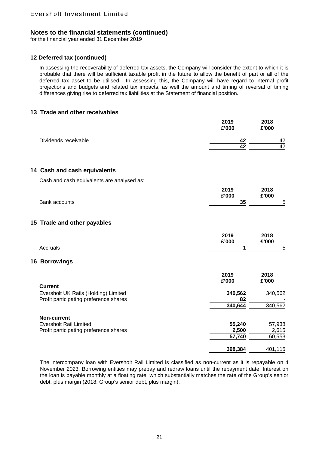for the financial year ended 31 December 2019

## **12 Deferred tax (continued)**

In assessing the recoverability of deferred tax assets, the Company will consider the extent to which it is probable that there will be sufficient taxable profit in the future to allow the benefit of part or all of the deferred tax asset to be utilised. In assessing this, the Company will have regard to internal profit projections and budgets and related tax impacts, as well the amount and timing of reversal of timing differences giving rise to deferred tax liabilities at the Statement of financial position.

# **13 Trade and other receivables**

|                                                                                | 2019<br>£'000      | 2018<br>£'000         |
|--------------------------------------------------------------------------------|--------------------|-----------------------|
| Dividends receivable                                                           | 42<br>42           | 42<br>$\overline{42}$ |
| 14 Cash and cash equivalents                                                   |                    |                       |
| Cash and cash equivalents are analysed as:                                     | 2019<br>£'000      | 2018<br>£'000         |
| <b>Bank accounts</b>                                                           | 35                 | 5                     |
| 15 Trade and other payables                                                    |                    |                       |
| <b>Accruals</b>                                                                | 2019<br>£'000<br>1 | 2018<br>£'000<br>5    |
| <b>16 Borrowings</b>                                                           |                    |                       |
| <b>Current</b>                                                                 | 2019<br>£'000      | 2018<br>£'000         |
| Eversholt UK Rails (Holding) Limited<br>Profit participating preference shares | 340,562<br>82      | 340,562               |
| <b>Non-current</b>                                                             | 340,644            | 340,562               |
| <b>Eversholt Rail Limited</b><br>Profit participating preference shares        | 55,240<br>2,500    | 57,938<br>2,615       |
|                                                                                | 57,740             | 60,553                |

The intercompany loan with Eversholt Rail Limited is classified as non-current as it is repayable on 4 November 2023. Borrowing entities may prepay and redraw loans until the repayment date. Interest on the loan is payable monthly at a floating rate, which substantially matches the rate of the Group's senior debt, plus margin (2018: Group's senior debt, plus margin).

**398,384** 401,115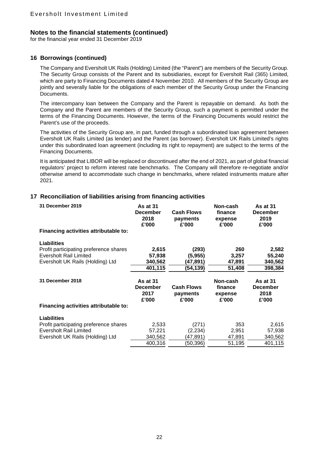for the financial year ended 31 December 2019

# **16 Borrowings (continued)**

The Company and Eversholt UK Rails (Holding) Limited (the "Parent") are members of the Security Group. The Security Group consists of the Parent and its subsidiaries, except for Eversholt Rail (365) Limited, which are party to Financing Documents dated 4 November 2010. All members of the Security Group are jointly and severally liable for the obligations of each member of the Security Group under the Financing Documents.

The intercompany loan between the Company and the Parent is repayable on demand. As both the Company and the Parent are members of the Security Group, such a payment is permitted under the terms of the Financing Documents. However, the terms of the Financing Documents would restrict the Parent's use of the proceeds.

The activities of the Security Group are, in part, funded through a subordinated loan agreement between Eversholt UK Rails Limited (as lender) and the Parent (as borrower). Eversholt UK Rails Limited's rights under this subordinated loan agreement (including its right to repayment) are subject to the terms of the Financing Documents.

It is anticipated that LIBOR will be replaced or discontinued after the end of 2021, as part of global financial regulators' project to reform interest rate benchmarks. The Company will therefore re-negotiate and/or otherwise amend to accommodate such change in benchmarks, where related instruments mature after 2021.

# **17 Reconciliation of liabilities arising from financing activities**

| 31 December 2019<br>Financing activities attributable to:                                                                  | <b>As at 31</b><br><b>December</b><br>2018<br>£'000 | <b>Cash Flows</b><br>payments<br>£'000   | Non-cash<br>finance<br>expense<br>£'000 | <b>As at 31</b><br><b>December</b><br>2019<br>£'000 |
|----------------------------------------------------------------------------------------------------------------------------|-----------------------------------------------------|------------------------------------------|-----------------------------------------|-----------------------------------------------------|
| <b>Liabilities</b><br>Profit participating preference shares<br>Eversholt Rail Limited<br>Eversholt UK Rails (Holding) Ltd | 2,615<br>57,938<br>340,562<br>401,115               | (293)<br>(5,955)<br>(47,891)<br>(54,139) | 260<br>3,257<br>47,891<br>51,408        | 2,582<br>55,240<br>340,562<br>398,384               |
| 31 December 2018                                                                                                           | <b>As at 31</b>                                     |                                          | Non-cash                                | <b>As at 31</b>                                     |
|                                                                                                                            | <b>December</b><br>2017<br>£'000                    | <b>Cash Flows</b><br>payments<br>£'000   | finance<br>expense<br>£'000             | <b>December</b><br>2018<br>£'000                    |
| Financing activities attributable to:                                                                                      |                                                     |                                          |                                         |                                                     |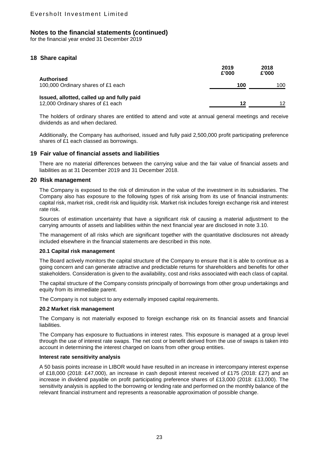for the financial year ended 31 December 2019

## **18 Share capital**

| <b>Authorised</b>                                                               | 2019<br>£'000 | 2018<br>£'000 |
|---------------------------------------------------------------------------------|---------------|---------------|
| 100,000 Ordinary shares of £1 each                                              | 100           | 100           |
| Issued, allotted, called up and fully paid<br>12,000 Ordinary shares of £1 each | 12            | 12            |

The holders of ordinary shares are entitled to attend and vote at annual general meetings and receive dividends as and when declared.

Additionally, the Company has authorised, issued and fully paid 2,500,000 profit participating preference shares of £1 each classed as borrowings.

#### **19 Fair value of financial assets and liabilities**

There are no material differences between the carrying value and the fair value of financial assets and liabilities as at 31 December 2019 and 31 December 2018.

#### **20 Risk management**

The Company is exposed to the risk of diminution in the value of the investment in its subsidiaries. The Company also has exposure to the following types of risk arising from its use of financial instruments: capital risk, market risk, credit risk and liquidity risk. Market risk includes foreign exchange risk and interest rate risk.

Sources of estimation uncertainty that have a significant risk of causing a material adjustment to the carrying amounts of assets and liabilities within the next financial year are disclosed in note 3.10.

The management of all risks which are significant together with the quantitative disclosures not already included elsewhere in the financial statements are described in this note.

#### **20.1 Capital risk management**

The Board actively monitors the capital structure of the Company to ensure that it is able to continue as a going concern and can generate attractive and predictable returns for shareholders and benefits for other stakeholders. Consideration is given to the availability, cost and risks associated with each class of capital.

The capital structure of the Company consists principally of borrowings from other group undertakings and equity from its immediate parent.

The Company is not subject to any externally imposed capital requirements.

#### **20.2 Market risk management**

The Company is not materially exposed to foreign exchange risk on its financial assets and financial liabilities.

The Company has exposure to fluctuations in interest rates. This exposure is managed at a group level through the use of interest rate swaps. The net cost or benefit derived from the use of swaps is taken into account in determining the interest charged on loans from other group entities.

#### **Interest rate sensitivity analysis**

A 50 basis points increase in LIBOR would have resulted in an increase in intercompany interest expense of £18,000 (2018: £47,000), an increase in cash deposit interest received of £175 (2018: £27) and an increase in dividend payable on profit participating preference shares of £13,000 (2018: £13,000). The sensitivity analysis is applied to the borrowing or lending rate and performed on the monthly balance of the relevant financial instrument and represents a reasonable approximation of possible change.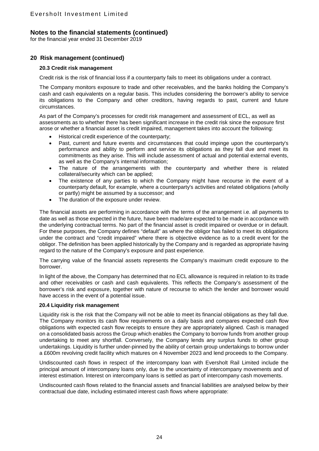for the financial year ended 31 December 2019

## **20 Risk management (continued)**

#### **20.3 Credit risk management**

Credit risk is the risk of financial loss if a counterparty fails to meet its obligations under a contract.

The Company monitors exposure to trade and other receivables, and the banks holding the Company's cash and cash equivalents on a regular basis. This includes considering the borrower's ability to service its obligations to the Company and other creditors, having regards to past, current and future circumstances.

As part of the Company's processes for credit risk management and assessment of ECL, as well as assessments as to whether there has been significant increase in the credit risk since the exposure first arose or whether a financial asset is credit impaired, management takes into account the following:

- Historical credit experience of the counterparty;
- Past, current and future events and circumstances that could impinge upon the counterparty's performance and ability to perform and service its obligations as they fall due and meet its commitments as they arise. This will include assessment of actual and potential external events, as well as the Company's internal information;
- The nature of the arrangements with the counterparty and whether there is related collateral/security which can be applied;
- The existence of any parties to which the Company might have recourse in the event of a counterparty default, for example, where a counterparty's activities and related obligations (wholly or partly) might be assumed by a successor; and
- The duration of the exposure under review.

The financial assets are performing in accordance with the terms of the arrangement i.e. all payments to date as well as those expected in the future, have been made/are expected to be made in accordance with the underlying contractual terms. No part of the financial asset is credit impaired or overdue or in default. For these purposes, the Company defines "default" as where the obligor has failed to meet its obligations under the contract and "credit impaired" where there is objective evidence as to a credit event for the obligor. The definition has been applied historically by the Company and is regarded as appropriate having regard to the nature of the Company's exposure and past experience.

The carrying value of the financial assets represents the Company's maximum credit exposure to the borrower.

In light of the above, the Company has determined that no ECL allowance is required in relation to its trade and other receivables or cash and cash equivalents. This reflects the Company's assessment of the borrower's risk and exposure, together with nature of recourse to which the lender and borrower would have access in the event of a potential issue.

#### **20.4 Liquidity risk management**

Liquidity risk is the risk that the Company will not be able to meet its financial obligations as they fall due. The Company monitors its cash flow requirements on a daily basis and compares expected cash flow obligations with expected cash flow receipts to ensure they are appropriately aligned. Cash is managed on a consolidated basis across the Group which enables the Company to borrow funds from another group undertaking to meet any shortfall. Conversely, the Company lends any surplus funds to other group undertakings. Liquidity is further under-pinned by the ability of certain group undertakings to borrow under a £600m revolving credit facility which matures on 4 November 2023 and lend proceeds to the Company.

Undiscounted cash flows in respect of the intercompany loan with Eversholt Rail Limited include the principal amount of intercompany loans only, due to the uncertainty of intercompany movements and of interest estimation. Interest on intercompany loans is settled as part of intercompany cash movements.

Undiscounted cash flows related to the financial assets and financial liabilities are analysed below by their contractual due date, including estimated interest cash flows where appropriate: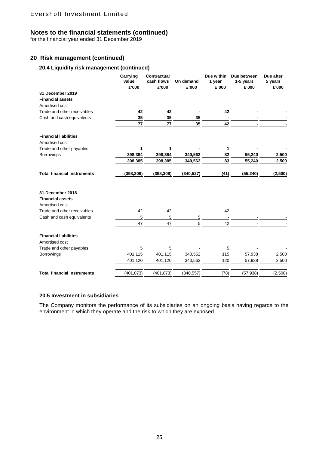for the financial year ended 31 December 2019

# **20 Risk management (continued)**

# **20.4 Liquidity risk management (continued)**

|                                    | Carrying<br>value | <b>Contractual</b><br>cash flows | On demand  | Due within<br>1 year | Due between<br>1-5 years | Due after<br>5 years |
|------------------------------------|-------------------|----------------------------------|------------|----------------------|--------------------------|----------------------|
|                                    | £'000             | £'000                            | £'000      | £'000                | £'000                    | £'000                |
| 31 December 2019                   |                   |                                  |            |                      |                          |                      |
| <b>Financial assets</b>            |                   |                                  |            |                      |                          |                      |
| Amortised cost                     |                   |                                  |            |                      |                          |                      |
| Trade and other receivables        | 42                | 42                               |            | 42                   |                          |                      |
| Cash and cash equivalents          | 35                | 35                               | 35         |                      |                          |                      |
|                                    | 77                | 77                               | 35         | 42                   |                          |                      |
| <b>Financial liabilities</b>       |                   |                                  |            |                      |                          |                      |
| Amortised cost                     |                   |                                  |            |                      |                          |                      |
| Trade and other payables           | 1                 | 1                                |            | 1                    |                          |                      |
| <b>Borrowings</b>                  | 398,384           | 398,384                          | 340,562    | 82                   | 55,240                   | 2,500                |
|                                    | 398,385           | 398,385                          | 340,562    | 83                   | 55,240                   | 2,500                |
| <b>Total financial instruments</b> | (398, 308)        | (398, 308)                       | (340, 527) | (41)                 | (55, 240)                | (2,500)              |
| 31 December 2018                   |                   |                                  |            |                      |                          |                      |
| <b>Financial assets</b>            |                   |                                  |            |                      |                          |                      |
| Amortised cost                     |                   |                                  |            |                      |                          |                      |
| Trade and other receivables        | 42                | 42                               |            | 42                   |                          |                      |
| Cash and cash equivalents          | 5                 | 5                                | 5          |                      |                          |                      |
|                                    | 47                | 47                               | 5          | 42                   |                          |                      |
| <b>Financial liabilities</b>       |                   |                                  |            |                      |                          |                      |
| Amortised cost                     |                   |                                  |            |                      |                          |                      |
| Trade and other payables           | 5                 | 5                                |            | 5                    |                          |                      |
| <b>Borrowings</b>                  | 401,115           | 401,115                          | 340,562    | 115                  | 57,938                   | 2,500                |
|                                    | 401,120           | 401,120                          | 340,562    | 120                  | 57,938                   | 2,500                |
| <b>Total financial instruments</b> | (401, 073)        | (401, 073)                       | (340,557)  | (78)                 | (57, 938)                | (2,500)              |

# **20.5 Investment in subsidiaries**

The Company monitors the performance of its subsidiaries on an ongoing basis having regards to the environment in which they operate and the risk to which they are exposed.